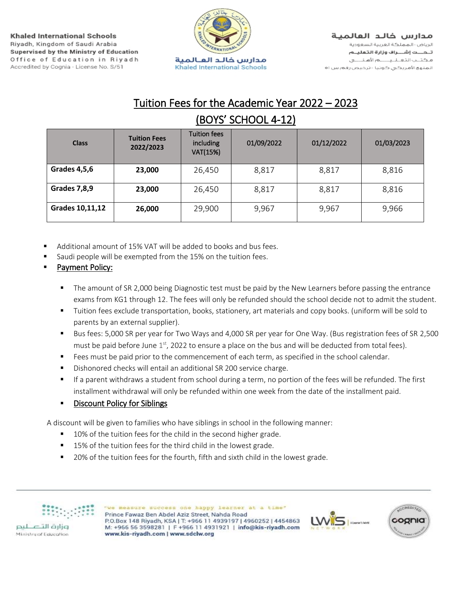

## Tuition Fees for the Academic Year 2022 – 2023 (BOYS' SCHOOL 4-12)

| <b>Class</b>        | <b>Tuition Fees</b><br>2022/2023 | <b>Tuition fees</b><br>including<br>VAT(15%) | 01/09/2022 | 01/12/2022 | 01/03/2023 |
|---------------------|----------------------------------|----------------------------------------------|------------|------------|------------|
| <b>Grades 4,5,6</b> | 23,000                           | 26,450                                       | 8,817      | 8,817      | 8,816      |
| <b>Grades 7,8,9</b> | 23,000                           | 26,450                                       | 8,817      | 8,817      | 8,816      |
| Grades 10,11,12     | 26,000                           | 29,900                                       | 9,967      | 9,967      | 9,966      |

- Additional amount of 15% VAT will be added to books and bus fees.
- Saudi people will be exempted from the 15% on the tuition fees.
- Payment Policy:
	- The amount of SR 2,000 being Diagnostic test must be paid by the New Learners before passing the entrance exams from KG1 through 12. The fees will only be refunded should the school decide not to admit the student.
	- Tuition fees exclude transportation, books, stationery, art materials and copy books. (uniform will be sold to parents by an external supplier).
	- Bus fees: 5,000 SR per year for Two Ways and 4,000 SR per year for One Way. (Bus registration fees of SR 2,500 must be paid before June  $1^\text{st}$ , 2022 to ensure a place on the bus and will be deducted from total fees).
	- Fees must be paid prior to the commencement of each term, as specified in the school calendar.
	- Dishonored checks will entail an additional SR 200 service charge.
	- If a parent withdraws a student from school during a term, no portion of the fees will be refunded. The first installment withdrawal will only be refunded within one week from the date of the installment paid.

## ▪ Discount Policy for Siblings

A discount will be given to families who have siblings in school in the following manner:

- 10% of the tuition fees for the child in the second higher grade.
- 15% of the tuition fees for the third child in the lowest grade.
- 20% of the tuition fees for the fourth, fifth and sixth child in the lowest grade.



Ministry of Education

"we measure success one happy learner at a time" Prince Fawaz Ben Abdel Aziz Street, Nahda Road P.O.Box 148 Riyadh, KSA | T: +966 11 4939197 | 4960252 | 4454863 M: +966 56 3598281 | F +966 11 4931921 | info@kis-riyadh.com www.kis-riyadh.com | www.sdclw.org